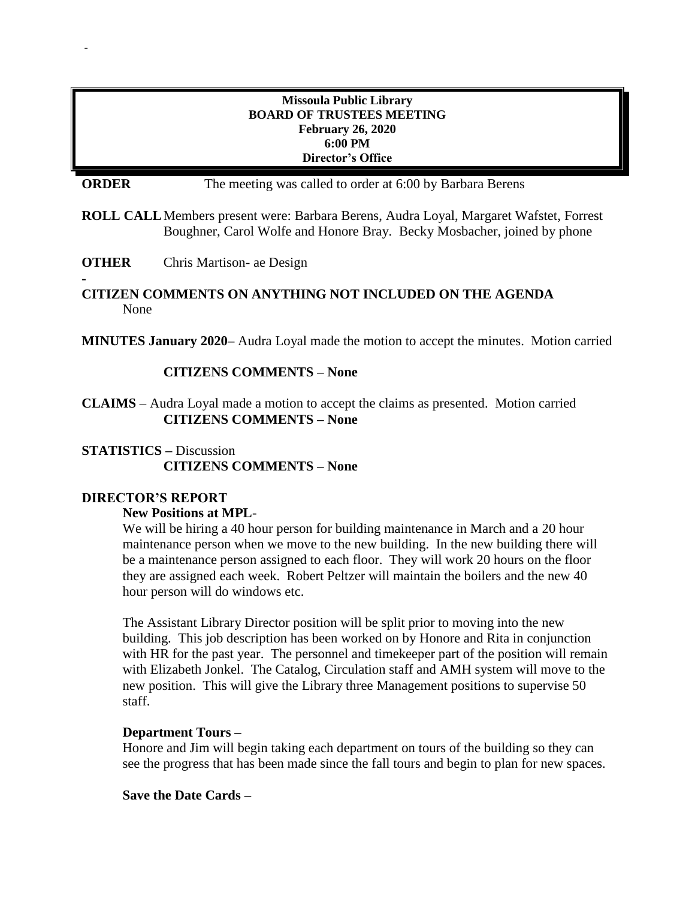## **Missoula Public Library BOARD OF TRUSTEES MEETING February 26, 2020 6:00 PM Director's Office**

**ORDER** The meeting was called to order at 6:00 by Barbara Berens

**ROLL CALL**Members present were: Barbara Berens, Audra Loyal, Margaret Wafstet, Forrest Boughner, Carol Wolfe and Honore Bray. Becky Mosbacher, joined by phone

**OTHER** Chris Martison- ae Design

-

**-**

## **CITIZEN COMMENTS ON ANYTHING NOT INCLUDED ON THE AGENDA** None

**MINUTES January 2020–** Audra Loyal made the motion to accept the minutes. Motion carried

## **CITIZENS COMMENTS – None**

**CLAIMS** – Audra Loyal made a motion to accept the claims as presented. Motion carried **CITIZENS COMMENTS – None**

# **STATISTICS –** Discussion **CITIZENS COMMENTS – None**

### **DIRECTOR'S REPORT**

### **New Positions at MPL**-

We will be hiring a 40 hour person for building maintenance in March and a 20 hour maintenance person when we move to the new building. In the new building there will be a maintenance person assigned to each floor. They will work 20 hours on the floor they are assigned each week. Robert Peltzer will maintain the boilers and the new 40 hour person will do windows etc.

The Assistant Library Director position will be split prior to moving into the new building. This job description has been worked on by Honore and Rita in conjunction with HR for the past year. The personnel and timekeeper part of the position will remain with Elizabeth Jonkel. The Catalog, Circulation staff and AMH system will move to the new position. This will give the Library three Management positions to supervise 50 staff.

### **Department Tours –**

Honore and Jim will begin taking each department on tours of the building so they can see the progress that has been made since the fall tours and begin to plan for new spaces.

### **Save the Date Cards –**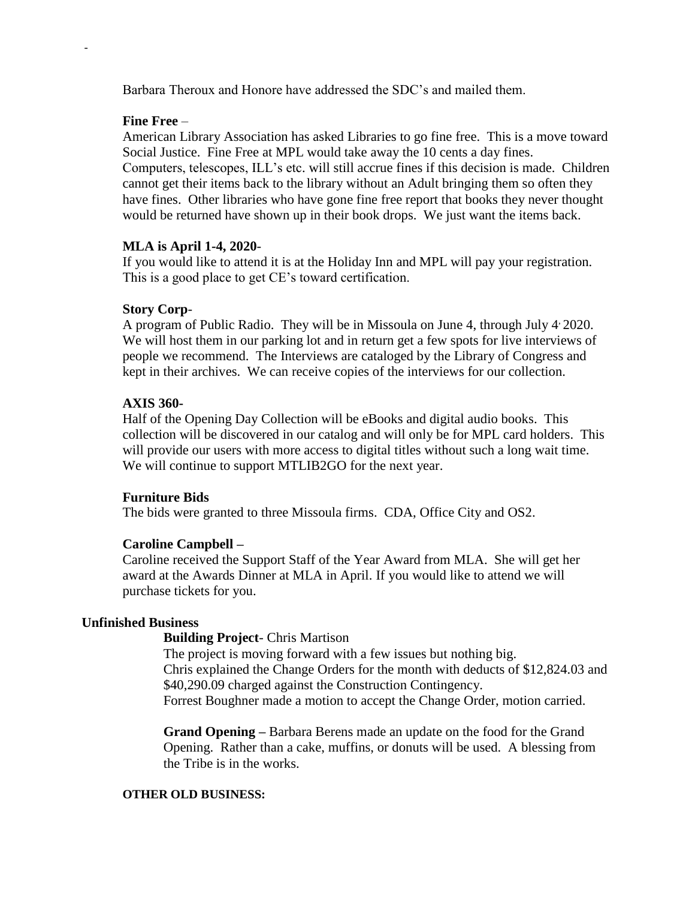Barbara Theroux and Honore have addressed the SDC's and mailed them.

## **Fine Free** –

-

American Library Association has asked Libraries to go fine free. This is a move toward Social Justice. Fine Free at MPL would take away the 10 cents a day fines. Computers, telescopes, ILL's etc. will still accrue fines if this decision is made. Children cannot get their items back to the library without an Adult bringing them so often they have fines. Other libraries who have gone fine free report that books they never thought would be returned have shown up in their book drops. We just want the items back.

## **MLA is April 1-4, 2020**-

If you would like to attend it is at the Holiday Inn and MPL will pay your registration. This is a good place to get CE's toward certification.

## **Story Corp**-

A program of Public Radio. They will be in Missoula on June 4, through July 4, 2020. We will host them in our parking lot and in return get a few spots for live interviews of people we recommend. The Interviews are cataloged by the Library of Congress and kept in their archives. We can receive copies of the interviews for our collection.

## **AXIS 360-**

Half of the Opening Day Collection will be eBooks and digital audio books. This collection will be discovered in our catalog and will only be for MPL card holders. This will provide our users with more access to digital titles without such a long wait time. We will continue to support MTLIB2GO for the next year.

### **Furniture Bids**

The bids were granted to three Missoula firms. CDA, Office City and OS2.

## **Caroline Campbell –**

Caroline received the Support Staff of the Year Award from MLA. She will get her award at the Awards Dinner at MLA in April. If you would like to attend we will purchase tickets for you.

### **Unfinished Business**

## **Building Project**- Chris Martison

The project is moving forward with a few issues but nothing big. Chris explained the Change Orders for the month with deducts of \$12,824.03 and \$40,290.09 charged against the Construction Contingency. Forrest Boughner made a motion to accept the Change Order, motion carried.

**Grand Opening –** Barbara Berens made an update on the food for the Grand Opening. Rather than a cake, muffins, or donuts will be used. A blessing from the Tribe is in the works.

### **OTHER OLD BUSINESS:**